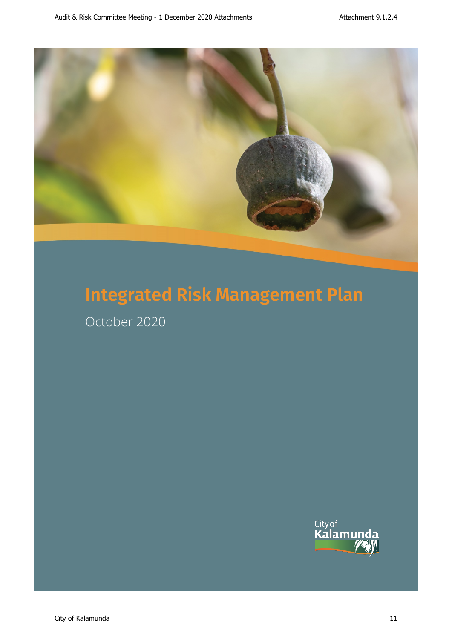

October 2020

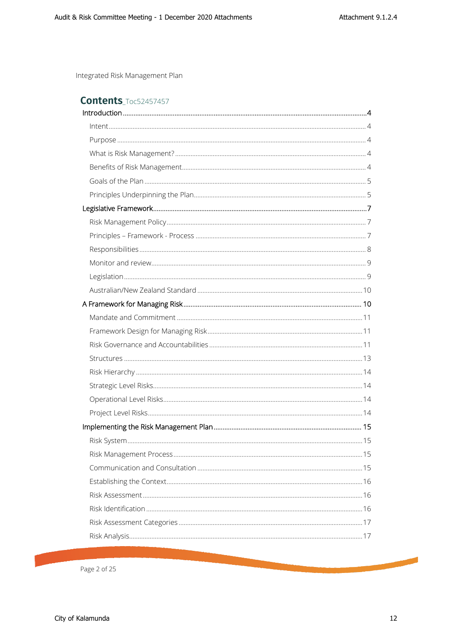<span id="page-1-0"></span>

|  | <b>Contents Toc52457457</b> |
|--|-----------------------------|
|  |                             |

Page 2 of 25

**Contract Contract Contract Contract Contract Contract Contract Contract Contract Contract Contract Contract Contract Contract Contract Contract Contract Contract Contract Contract Contract Contract Contract Contract Contr**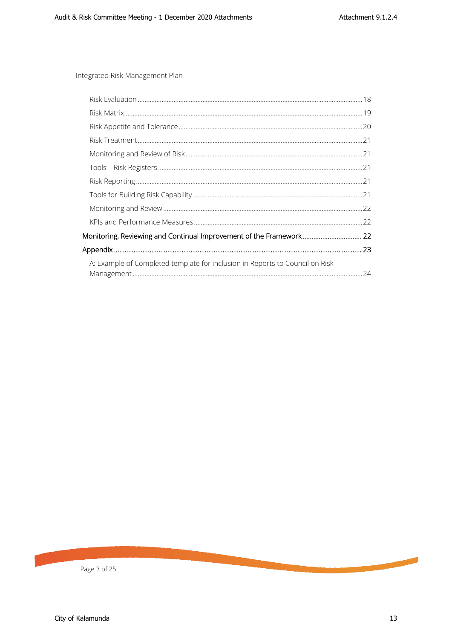| Monitoring, Reviewing and Continual Improvement of the Framework 22          |  |
|------------------------------------------------------------------------------|--|
|                                                                              |  |
| A: Example of Completed template for inclusion in Reports to Council on Risk |  |
|                                                                              |  |

Page 3 of 25

**Contract Contract Contract**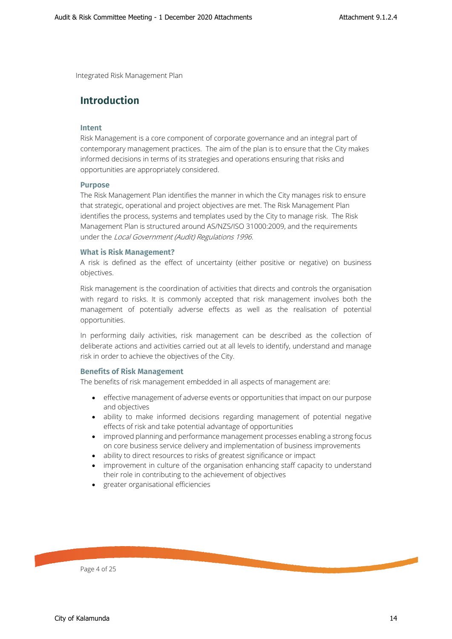# <span id="page-3-1"></span><span id="page-3-0"></span>**Introduction**

#### **Intent**

<span id="page-3-2"></span>Risk Management is a core component of corporate governance and an integral part of contemporary management practices. The aim of the plan is to ensure that the City makes informed decisions in terms of its strategies and operations ensuring that risks and opportunities are appropriately considered.

#### **Purpose**

The Risk Management Plan identifies the manner in which the City manages risk to ensure that strategic, operational and project objectives are met. The Risk Management Plan identifies the process, systems and templates used by the City to manage risk. The Risk Management Plan is structured around AS/NZS/ISO 31000:2009, and the requirements under the Local Government (Audit) Regulations 1996.

#### <span id="page-3-3"></span>**What is Risk Management?**

A risk is defined as the effect of uncertainty (either positive or negative) on business objectives.

Risk management is the coordination of activities that directs and controls the organisation with regard to risks. It is commonly accepted that risk management involves both the management of potentially adverse effects as well as the realisation of potential opportunities.

In performing daily activities, risk management can be described as the collection of deliberate actions and activities carried out at all levels to identify, understand and manage risk in order to achieve the objectives of the City.

#### **Benefits of Risk Management**

<span id="page-3-4"></span>The benefits of risk management embedded in all aspects of management are:

- effective management of adverse events or opportunities that impact on our purpose and objectives
- ability to make informed decisions regarding management of potential negative effects of risk and take potential advantage of opportunities
- improved planning and performance management processes enabling a strong focus on core business service delivery and implementation of business improvements
- ability to direct resources to risks of greatest significance or impact
- improvement in culture of the organisation enhancing staff capacity to understand their role in contributing to the achievement of objectives
- greater organisational efficiencies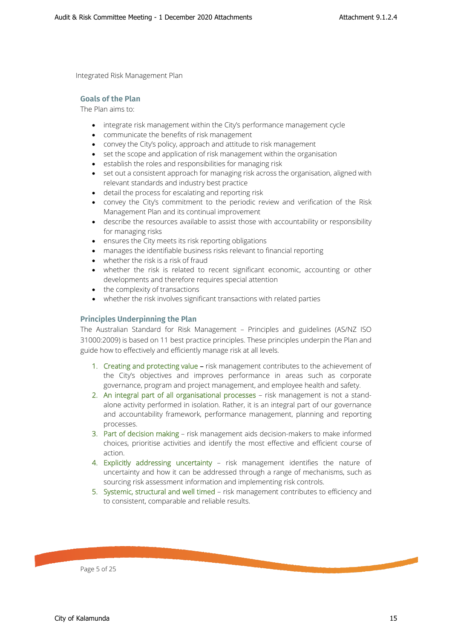#### <span id="page-4-0"></span>**Goals of the Plan**

The Plan aims to:

- integrate risk management within the City's performance management cycle
- communicate the benefits of risk management
- convey the City's policy, approach and attitude to risk management
- set the scope and application of risk management within the organisation
- establish the roles and responsibilities for managing risk
- set out a consistent approach for managing risk across the organisation, aligned with relevant standards and industry best practice
- detail the process for escalating and reporting risk
- convey the City's commitment to the periodic review and verification of the Risk Management Plan and its continual improvement
- describe the resources available to assist those with accountability or responsibility for managing risks
- ensures the City meets its risk reporting obligations
- manages the identifiable business risks relevant to financial reporting
- whether the risk is a risk of fraud
- whether the risk is related to recent significant economic, accounting or other developments and therefore requires special attention
- the complexity of transactions
- whether the risk involves significant transactions with related parties

#### <span id="page-4-1"></span>**Principles Underpinning the Plan**

The Australian Standard for Risk Management – Principles and guidelines (AS/NZ ISO 31000:2009) is based on 11 best practice principles. These principles underpin the Plan and guide how to effectively and efficiently manage risk at all levels.

- 1. Creating and protecting value risk management contributes to the achievement of the City's objectives and improves performance in areas such as corporate governance, program and project management, and employee health and safety.
- 2. An integral part of all organisational processes risk management is not a standalone activity performed in isolation. Rather, it is an integral part of our governance and accountability framework, performance management, planning and reporting processes.
- 3. Part of decision making risk management aids decision-makers to make informed choices, prioritise activities and identify the most effective and efficient course of action.
- 4. Explicitly addressing uncertainty risk management identifies the nature of uncertainty and how it can be addressed through a range of mechanisms, such as sourcing risk assessment information and implementing risk controls.
- 5. Systemic, structural and well timed risk management contributes to efficiency and to consistent, comparable and reliable results.

Page 5 of 25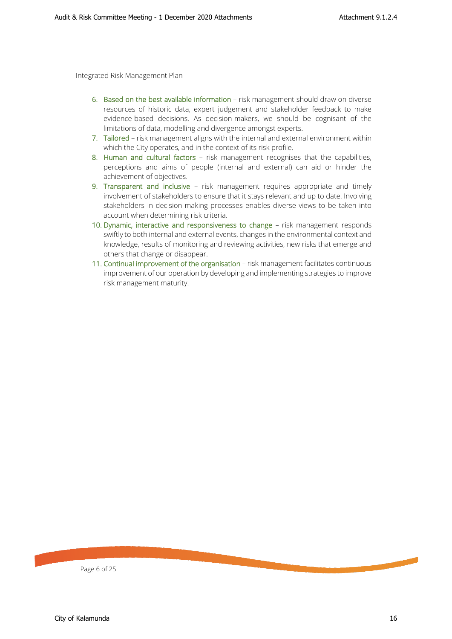- 6. Based on the best available information risk management should draw on diverse resources of historic data, expert judgement and stakeholder feedback to make evidence-based decisions. As decision-makers, we should be cognisant of the limitations of data, modelling and divergence amongst experts.
- 7. Tailored risk management aligns with the internal and external environment within which the City operates, and in the context of its risk profile.
- 8. Human and cultural factors risk management recognises that the capabilities, perceptions and aims of people (internal and external) can aid or hinder the achievement of objectives.
- 9. Transparent and inclusive risk management requires appropriate and timely involvement of stakeholders to ensure that it stays relevant and up to date. Involving stakeholders in decision making processes enables diverse views to be taken into account when determining risk criteria.
- 10. Dynamic, interactive and responsiveness to change risk management responds swiftly to both internal and external events, changes in the environmental context and knowledge, results of monitoring and reviewing activities, new risks that emerge and others that change or disappear.
- 11. Continual improvement of the organisation risk management facilitates continuous improvement of our operation by developing and implementing strategies to improve risk management maturity.

Page 6 of 25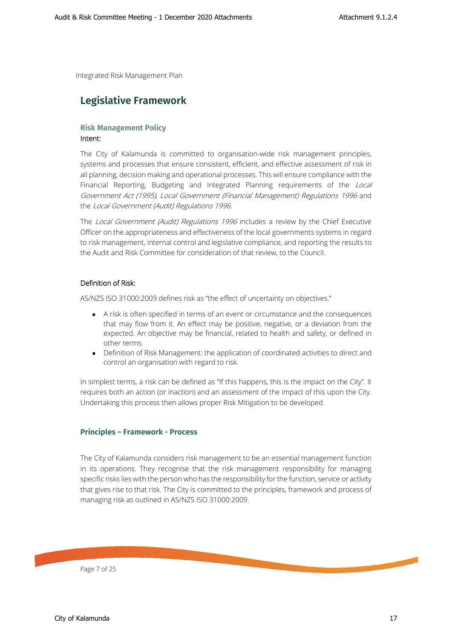# <span id="page-6-1"></span><span id="page-6-0"></span>**Legislative Framework**

#### **Risk Management Policy**

#### Intent:

The City of Kalamunda is committed to organisation-wide risk management principles, systems and processes that ensure consistent, efficient, and effective assessment of risk in all planning, decision making and operational processes. This will ensure compliance with the Financial Reporting, Budgeting and Integrated Planning requirements of the Local Government Act (1995), Local Government (Financial Management) Regulations 1996 and the Local Government (Audit) Regulations 1996.

The Local Government (Audit) Regulations 1996 includes a review by the Chief Executive Officer on the appropriateness and effectiveness of the local governments systems in regard to risk management, internal control and legislative compliance, and reporting the results to the Audit and Risk Committee for consideration of that review, to the Council.

#### Definition of Risk:

AS/NZS ISO 31000:2009 defines risk as "the effect of uncertainty on objectives."

- A risk is often specified in terms of an event or circumstance and the consequences that may flow from it. An effect may be positive, negative, or a deviation from the expected. An objective may be financial, related to health and safety, or defined in other terms.
- Definition of Risk Management: the application of coordinated activities to direct and control an organisation with regard to risk.

In simplest terms, a risk can be defined as "If this happens, this is the impact on the City". It requires both an action (or inaction) and an assessment of the impact of this upon the City. Undertaking this process then allows proper Risk Mitigation to be developed.

#### **Principles – Framework - Process**

<span id="page-6-2"></span>The City of Kalamunda considers risk management to be an essential management function in its operations. They recognise that the risk management responsibility for managing specific risks lies with the person who has the responsibility for the function, service or activity that gives rise to that risk. The City is committed to the principles, framework and process of managing risk as outlined in AS/NZS ISO 31000:2009.

Page 7 of 25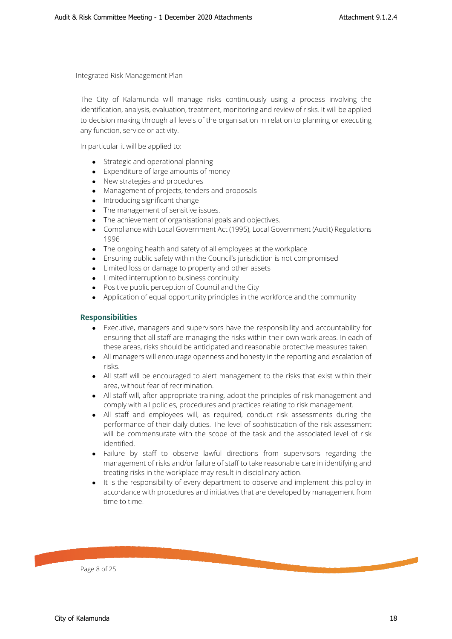The City of Kalamunda will manage risks continuously using a process involving the identification, analysis, evaluation, treatment, monitoring and review of risks. It will be applied to decision making through all levels of the organisation in relation to planning or executing any function, service or activity.

In particular it will be applied to:

- Strategic and operational planning
- Expenditure of large amounts of money
- New strategies and procedures
- Management of projects, tenders and proposals
- Introducing significant change
- The management of sensitive issues.
- The achievement of organisational goals and objectives.
- Compliance with Local Government Act (1995), Local Government (Audit) Regulations 1996
- The ongoing health and safety of all employees at the workplace
- Ensuring public safety within the Council's jurisdiction is not compromised
- Limited loss or damage to property and other assets
- Limited interruption to business continuity
- Positive public perception of Council and the City
- Application of equal opportunity principles in the workforce and the community

#### <span id="page-7-0"></span>**Responsibilities**

- Executive, managers and supervisors have the responsibility and accountability for ensuring that all staff are managing the risks within their own work areas. In each of these areas, risks should be anticipated and reasonable protective measures taken.
- All managers will encourage openness and honesty in the reporting and escalation of risks.
- All staff will be encouraged to alert management to the risks that exist within their area, without fear of recrimination.
- All staff will, after appropriate training, adopt the principles of risk management and comply with all policies, procedures and practices relating to risk management.
- All staff and employees will, as required, conduct risk assessments during the performance of their daily duties. The level of sophistication of the risk assessment will be commensurate with the scope of the task and the associated level of risk identified.
- Failure by staff to observe lawful directions from supervisors regarding the management of risks and/or failure of staff to take reasonable care in identifying and treating risks in the workplace may result in disciplinary action.
- It is the responsibility of every department to observe and implement this policy in accordance with procedures and initiatives that are developed by management from time to time.

Page 8 of 25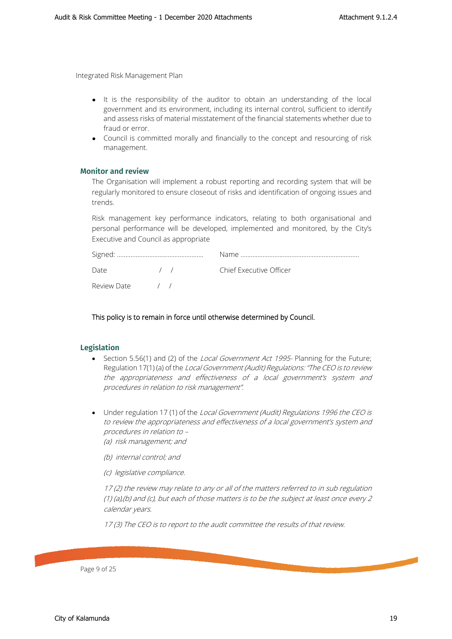- It is the responsibility of the auditor to obtain an understanding of the local government and its environment, including its internal control, sufficient to identify and assess risks of material misstatement of the financial statements whether due to fraud or error.
- Council is committed morally and financially to the concept and resourcing of risk management.

#### <span id="page-8-0"></span>**Monitor and review**

The Organisation will implement a robust reporting and recording system that will be regularly monitored to ensure closeout of risks and identification of ongoing issues and trends.

Risk management key performance indicators, relating to both organisational and personal performance will be developed, implemented and monitored, by the City's Executive and Council as appropriate

| Date            |  | $\left( \begin{array}{cc} 1 & 1 \end{array} \right)$ | Chief Executive Officer |  |  |  |
|-----------------|--|------------------------------------------------------|-------------------------|--|--|--|
| Review Date / / |  |                                                      |                         |  |  |  |

#### This policy is to remain in force until otherwise determined by Council.

#### <span id="page-8-1"></span>**Legislation**

- Section 5.56(1) and (2) of the *Local Government Act 1995* Planning for the Future; Regulation 17(1) (a) of the Local Government (Audit) Regulations: "The CEO is to review the appropriateness and effectiveness of a local government's system and procedures in relation to risk management".
- Under regulation 17 (1) of the Local Government (Audit) Regulations 1996 the CEO is to review the appropriateness and effectiveness of a local government's system and procedures in relation to – (a) risk management; and
	- (b) internal control; and
	- (c) legislative compliance.

17 (2) the review may relate to any or all of the matters referred to in sub regulation (1) (a),(b) and (c), but each of those matters is to be the subject at least once every  $2$ calendar years.

17 (3) The CEO is to report to the audit committee the results of that review.

Page 9 of 25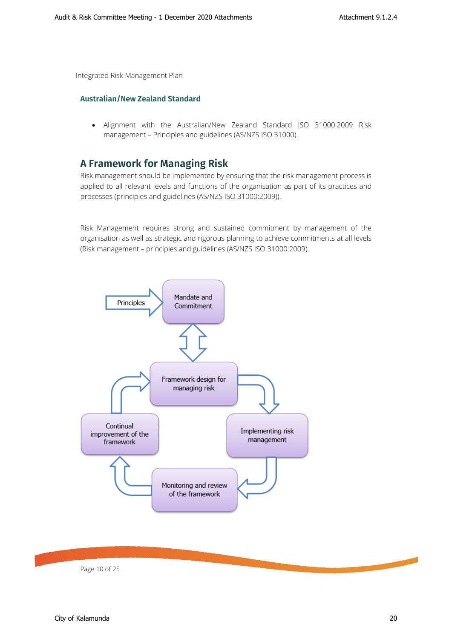#### <span id="page-9-0"></span>**Australian/New Zealand Standard**

<span id="page-9-1"></span>• Alignment with the Australian/New Zealand Standard ISO 31000:2009 Risk management – Principles and guidelines (AS/NZS ISO 31000).

# **A Framework for Managing Risk**

Risk management should be implemented by ensuring that the risk management process is applied to all relevant levels and functions of the organisation as part of its practices and processes (principles and guidelines (AS/NZS ISO 31000:2009)).

Risk Management requires strong and sustained commitment by management of the organisation as well as strategic and rigorous planning to achieve commitments at all levels (Risk management – principles and guidelines (AS/NZS ISO 31000:2009).



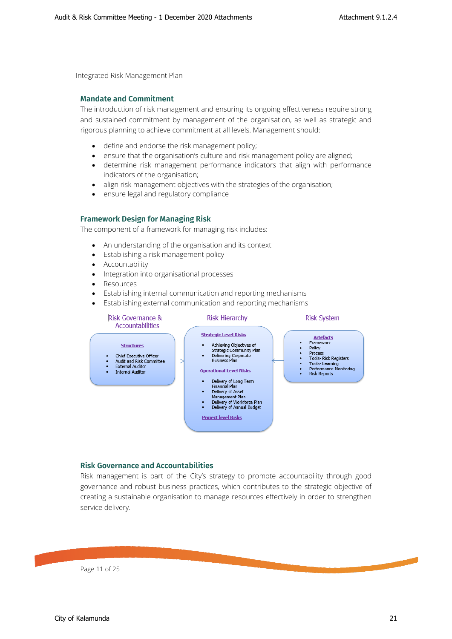#### <span id="page-10-0"></span>**Mandate and Commitment**

The introduction of risk management and ensuring its ongoing effectiveness require strong and sustained commitment by management of the organisation, as well as strategic and rigorous planning to achieve commitment at all levels. Management should:

- define and endorse the risk management policy;
- ensure that the organisation's culture and risk management policy are aligned;
- determine risk management performance indicators that align with performance indicators of the organisation;
- align risk management objectives with the strategies of the organisation;
- ensure legal and regulatory compliance

#### <span id="page-10-1"></span>**Framework Design for Managing Risk**

The component of a framework for managing risk includes:

- An understanding of the organisation and its context
- Establishing a risk management policy
- Accountability
- Integration into organisational processes
- Resources
- Establishing internal communication and reporting mechanisms
- Establishing external communication and reporting mechanisms



#### **Risk Governance and Accountabilities**

<span id="page-10-2"></span>Risk management is part of the City's strategy to promote accountability through good governance and robust business practices, which contributes to the strategic objective of creating a sustainable organisation to manage resources effectively in order to strengthen service delivery.

Page 11 of 25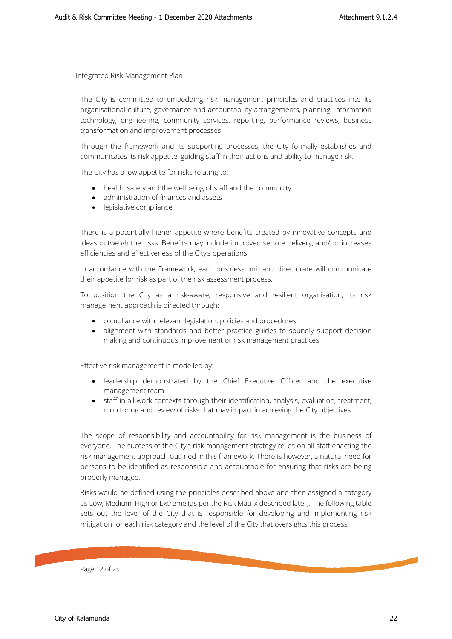The City is committed to embedding risk management principles and practices into its organisational culture, governance and accountability arrangements, planning, information technology, engineering, community services, reporting, performance reviews, business transformation and improvement processes.

Through the framework and its supporting processes, the City formally establishes and communicates its risk appetite, guiding staff in their actions and ability to manage risk.

The City has a low appetite for risks relating to:

- health, safety and the wellbeing of staff and the community
- administration of finances and assets
- legislative compliance

There is a potentially higher appetite where benefits created by innovative concepts and ideas outweigh the risks. Benefits may include improved service delivery, and/ or increases efficiencies and effectiveness of the City's operations.

In accordance with the Framework, each business unit and directorate will communicate their appetite for risk as part of the risk assessment process.

To position the City as a risk-aware, responsive and resilient organisation, its risk management approach is directed through:

- compliance with relevant legislation, policies and procedures
- alignment with standards and better practice guides to soundly support decision making and continuous improvement or risk management practices

Effective risk management is modelled by:

- leadership demonstrated by the Chief Executive Officer and the executive management team
- staff in all work contexts through their identification, analysis, evaluation, treatment, monitoring and review of risks that may impact in achieving the City objectives

The scope of responsibility and accountability for risk management is the business of everyone. The success of the City's risk management strategy relies on all staff enacting the risk management approach outlined in this framework. There is however, a natural need for persons to be identified as responsible and accountable for ensuring that risks are being properly managed.

Risks would be defined using the principles described above and then assigned a category as Low, Medium, High or Extreme (as per the Risk Matrix described later). The following table sets out the level of the City that is responsible for developing and implementing risk mitigation for each risk category and the level of the City that oversights this process:

Page 12 of 25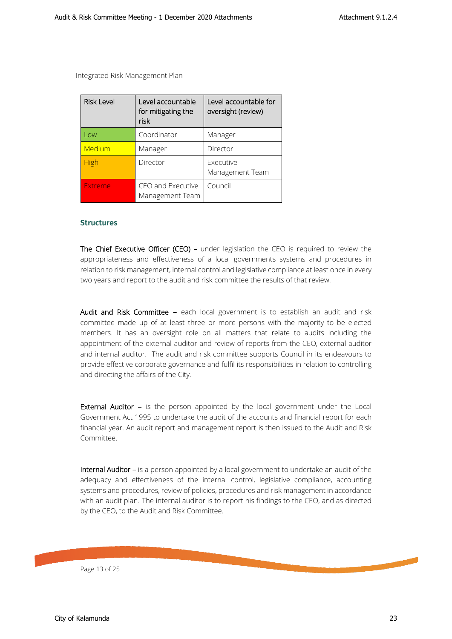| <b>Risk Level</b> | Level accountable<br>for mitigating the<br>risk | Level accountable for<br>oversight (review) |
|-------------------|-------------------------------------------------|---------------------------------------------|
| Low               | Coordinator                                     | Manager                                     |
| Medium            | Manager                                         | Director                                    |
| <b>High</b>       | Director                                        | Executive<br>Management Team                |
| Extreme           | CEO and Executive<br>Management Team            | Council                                     |

#### <span id="page-12-0"></span>**Structures**

The Chief Executive Officer (CEO) – under legislation the CEO is required to review the appropriateness and effectiveness of a local governments systems and procedures in relation to risk management, internal control and legislative compliance at least once in every two years and report to the audit and risk committee the results of that review.

Audit and Risk Committee - each local government is to establish an audit and risk committee made up of at least three or more persons with the majority to be elected members. It has an oversight role on all matters that relate to audits including the appointment of the external auditor and review of reports from the CEO, external auditor and internal auditor. The audit and risk committee supports Council in its endeavours to provide effective corporate governance and fulfil its responsibilities in relation to controlling and directing the affairs of the City.

**External Auditor –** is the person appointed by the local government under the Local Government Act 1995 to undertake the audit of the accounts and financial report for each financial year. An audit report and management report is then issued to the Audit and Risk Committee.

Internal Auditor – is a person appointed by a local government to undertake an audit of the adequacy and effectiveness of the internal control, legislative compliance, accounting systems and procedures, review of policies, procedures and risk management in accordance with an audit plan. The internal auditor is to report his findings to the CEO, and as directed by the CEO, to the Audit and Risk Committee.

Page 13 of 25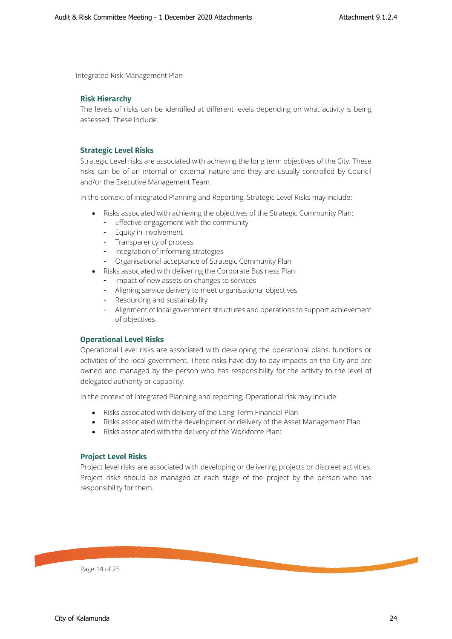#### <span id="page-13-0"></span>**Risk Hierarchy**

<span id="page-13-1"></span>The levels of risks can be identified at different levels depending on what activity is being assessed. These include:

#### **Strategic Level Risks**

Strategic Level risks are associated with achieving the long term objectives of the City. These risks can be of an internal or external nature and they are usually controlled by Council and/or the Executive Management Team.

In the context of integrated Planning and Reporting, Strategic Level Risks may include:

- Risks associated with achieving the objectives of the Strategic Community Plan:
	- Effective engagement with the community
	- Equity in involvement
	- Transparency of process
	- Integration of informing strategies
	- Organisational acceptance of Strategic Community Plan
- Risks associated with delivering the Corporate Business Plan:
	- Impact of new assets on changes to services
	- Aligning service delivery to meet organisational objectives
	- Resourcing and sustainability
	- Alignment of local government structures and operations to support achievement of objectives.

#### <span id="page-13-2"></span>**Operational Level Risks**

Operational Level risks are associated with developing the operational plans, functions or activities of the local government. These risks have day to day impacts on the City and are owned and managed by the person who has responsibility for the activity to the level of delegated authority or capability.

In the context of Integrated Planning and reporting, Operational risk may include:

- Risks associated with delivery of the Long Term Financial Plan
- Risks associated with the development or delivery of the Asset Management Plan
- Risks associated with the delivery of the Workforce Plan:

#### **Project Level Risks**

<span id="page-13-3"></span>Project level risks are associated with developing or delivering projects or discreet activities. Project risks should be managed at each stage of the project by the person who has responsibility for them.

Page 14 of 25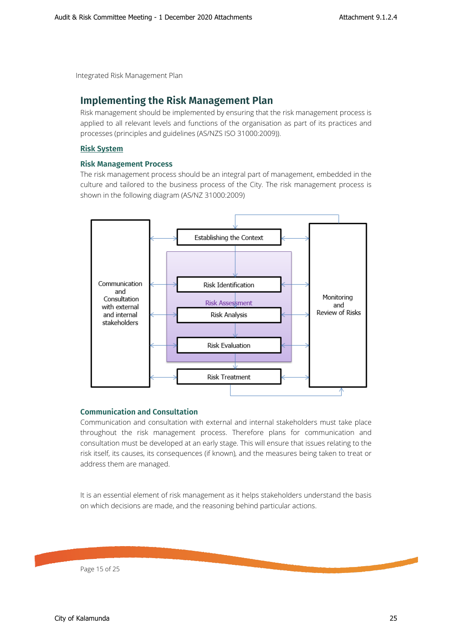## <span id="page-14-0"></span>**Implementing the Risk Management Plan**

<span id="page-14-1"></span>Risk management should be implemented by ensuring that the risk management process is applied to all relevant levels and functions of the organisation as part of its practices and processes (principles and guidelines (AS/NZS ISO 31000:2009)).

#### <span id="page-14-2"></span>**Risk System**

#### **Risk Management Process**

The risk management process should be an integral part of management, embedded in the culture and tailored to the business process of the City. The risk management process is shown in the following diagram (AS/NZ 31000:2009)



#### **Communication and Consultation**

<span id="page-14-3"></span>Communication and consultation with external and internal stakeholders must take place throughout the risk management process. Therefore plans for communication and consultation must be developed at an early stage. This will ensure that issues relating to the risk itself, its causes, its consequences (if known), and the measures being taken to treat or address them are managed.

It is an essential element of risk management as it helps stakeholders understand the basis on which decisions are made, and the reasoning behind particular actions.

Page 15 of 25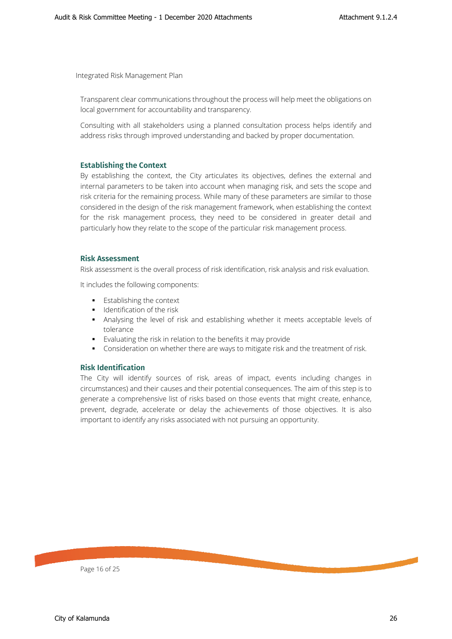Transparent clear communications throughout the process will help meet the obligations on local government for accountability and transparency.

<span id="page-15-0"></span>Consulting with all stakeholders using a planned consultation process helps identify and address risks through improved understanding and backed by proper documentation.

#### **Establishing the Context**

By establishing the context, the City articulates its objectives, defines the external and internal parameters to be taken into account when managing risk, and sets the scope and risk criteria for the remaining process. While many of these parameters are similar to those considered in the design of the risk management framework, when establishing the context for the risk management process, they need to be considered in greater detail and particularly how they relate to the scope of the particular risk management process.

#### <span id="page-15-1"></span>**Risk Assessment**

Risk assessment is the overall process of risk identification, risk analysis and risk evaluation.

It includes the following components:

- **Establishing the context**
- **IDENTIFICATION OF the risk**
- Analysing the level of risk and establishing whether it meets acceptable levels of tolerance
- Evaluating the risk in relation to the benefits it may provide
- Consideration on whether there are ways to mitigate risk and the treatment of risk.

#### **Risk Identification**

<span id="page-15-2"></span>The City will identify sources of risk, areas of impact, events including changes in circumstances) and their causes and their potential consequences. The aim of this step is to generate a comprehensive list of risks based on those events that might create, enhance, prevent, degrade, accelerate or delay the achievements of those objectives. It is also important to identify any risks associated with not pursuing an opportunity.

Page 16 of 25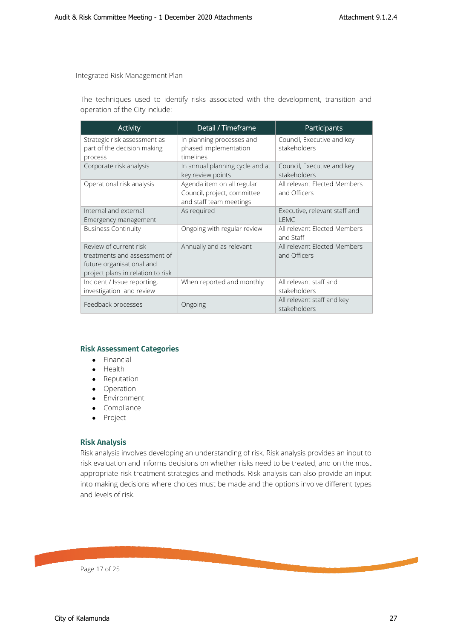The techniques used to identify risks associated with the development, transition and operation of the City include:

| <b>Activity</b>                                                                                                          | Detail / Timeframe                                                                   | Participants                                 |
|--------------------------------------------------------------------------------------------------------------------------|--------------------------------------------------------------------------------------|----------------------------------------------|
| Strategic risk assessment as<br>part of the decision making<br>process                                                   | In planning processes and<br>phased implementation<br>timelines                      | Council, Executive and key<br>stakeholders   |
| Corporate risk analysis                                                                                                  | In annual planning cycle and at<br>key review points                                 | Council, Executive and key<br>stakeholders   |
| Operational risk analysis                                                                                                | Agenda item on all regular<br>Council, project, committee<br>and staff team meetings | All relevant Elected Members<br>and Officers |
| Internal and external<br>Emergency management                                                                            | As required                                                                          | Executive, relevant staff and<br><b>LEMC</b> |
| <b>Business Continuity</b>                                                                                               | Ongoing with regular review                                                          | All relevant Elected Members<br>and Staff    |
| Review of current risk<br>treatments and assessment of<br>future organisational and<br>project plans in relation to risk | Annually and as relevant                                                             | All relevant Elected Members<br>and Officers |
| Incident / Issue reporting,<br>investigation and review                                                                  | When reported and monthly                                                            | All relevant staff and<br>stakeholders       |
| Feedback processes                                                                                                       | Ongoing                                                                              | All relevant staff and key<br>stakeholders   |

#### <span id="page-16-0"></span>**Risk Assessment Categories**

- Financial
- Health
- Reputation
- Operation
- Environment
- Compliance
- Project

#### **Risk Analysis**

<span id="page-16-1"></span>Risk analysis involves developing an understanding of risk. Risk analysis provides an input to risk evaluation and informs decisions on whether risks need to be treated, and on the most appropriate risk treatment strategies and methods. Risk analysis can also provide an input into making decisions where choices must be made and the options involve different types and levels of risk.

Page 17 of 25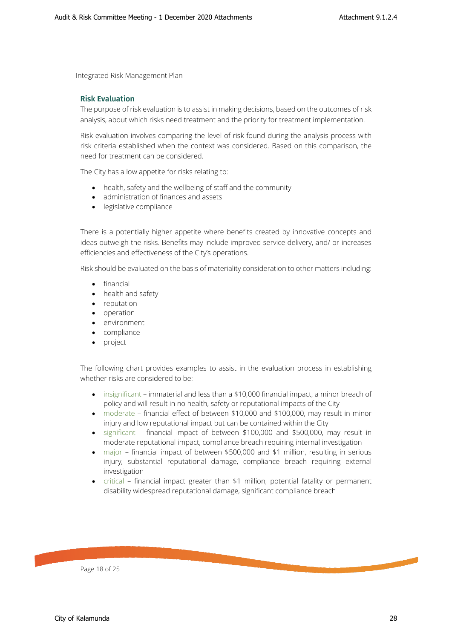#### <span id="page-17-0"></span>**Risk Evaluation**

The purpose of risk evaluation is to assist in making decisions, based on the outcomes of risk analysis, about which risks need treatment and the priority for treatment implementation.

Risk evaluation involves comparing the level of risk found during the analysis process with risk criteria established when the context was considered. Based on this comparison, the need for treatment can be considered.

The City has a low appetite for risks relating to:

- health, safety and the wellbeing of staff and the community
- administration of finances and assets
- legislative compliance

There is a potentially higher appetite where benefits created by innovative concepts and ideas outweigh the risks. Benefits may include improved service delivery, and/ or increases efficiencies and effectiveness of the City's operations.

Risk should be evaluated on the basis of materiality consideration to other matters including:

- financial
- health and safety
- reputation
- operation
- environment
- compliance
- project

The following chart provides examples to assist in the evaluation process in establishing whether risks are considered to be:

- insignificant immaterial and less than a \$10,000 financial impact, a minor breach of policy and will result in no health, safety or reputational impacts of the City
- moderate financial effect of between \$10,000 and \$100,000, may result in minor injury and low reputational impact but can be contained within the City
- significant financial impact of between \$100,000 and \$500,000, may result in moderate reputational impact, compliance breach requiring internal investigation
- major financial impact of between \$500,000 and \$1 million, resulting in serious injury, substantial reputational damage, compliance breach requiring external investigation
- critical financial impact greater than \$1 million, potential fatality or permanent disability widespread reputational damage, significant compliance breach

Page 18 of 25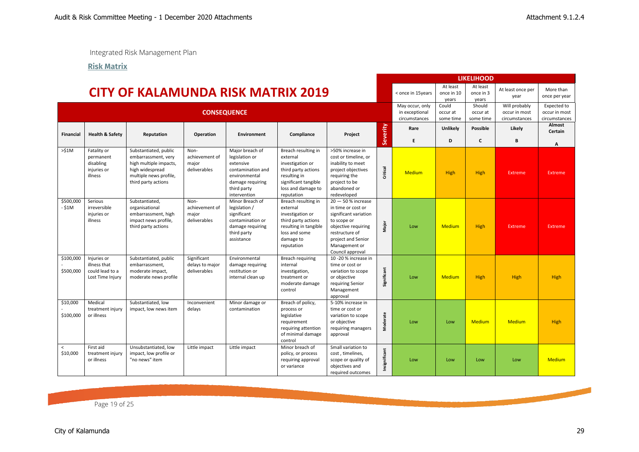**Risk Matrix**

<span id="page-18-0"></span>

|                        |                                                                    |                                                                                                                                            |                                                 |                                                                                                                                         |                                                                                                                                                        |                                                                                                                                                                                        |               |                                                    |                                 | <b>LIKELIHOOD</b>               |                                                 |                                               |
|------------------------|--------------------------------------------------------------------|--------------------------------------------------------------------------------------------------------------------------------------------|-------------------------------------------------|-----------------------------------------------------------------------------------------------------------------------------------------|--------------------------------------------------------------------------------------------------------------------------------------------------------|----------------------------------------------------------------------------------------------------------------------------------------------------------------------------------------|---------------|----------------------------------------------------|---------------------------------|---------------------------------|-------------------------------------------------|-----------------------------------------------|
|                        |                                                                    | <b>CITY OF KALAMUNDA RISK MATRIX 2019</b>                                                                                                  |                                                 |                                                                                                                                         |                                                                                                                                                        |                                                                                                                                                                                        |               | < once in 15years                                  | At least<br>once in 10<br>years | At least<br>once in 3<br>years  | At least once per<br>year                       | More than<br>once per year                    |
|                        | <b>CONSEQUENCE</b>                                                 |                                                                                                                                            |                                                 |                                                                                                                                         |                                                                                                                                                        |                                                                                                                                                                                        |               | May occur, only<br>in exceptional<br>circumstances | Could<br>occur at<br>some time  | Should<br>occur at<br>some time | Will probably<br>occur in most<br>circumstances | Expected to<br>occur in most<br>circumstances |
| <b>Financial</b>       | <b>Health &amp; Safety</b>                                         | Reputation                                                                                                                                 | Operation                                       | <b>Environment</b>                                                                                                                      | Compliance                                                                                                                                             | Project                                                                                                                                                                                | Severity      | Rare<br>E                                          | Unlikely<br>D                   | <b>Possible</b><br>C            | Likely<br>R                                     | Almost<br>Certain                             |
| >51M                   | Fatality or<br>permanent<br>disabling<br>injuries or<br>illness    | Substantiated, public<br>embarrassment, very<br>high multiple impacts,<br>high widespread<br>multiple news profile,<br>third party actions | Non-<br>achievement of<br>major<br>deliverables | Major breach of<br>legislation or<br>extensive<br>contamination and<br>environmental<br>damage requiring<br>third party<br>intervention | Breach resulting in<br>external<br>investigation or<br>third party actions<br>resulting in<br>significant tangible<br>loss and damage to<br>reputation | >50% increase in<br>cost or timeline, or<br>inability to meet<br>project objectives<br>requiring the<br>project to be<br>abandoned or<br>redeveloped                                   | Critical      | <b>Medium</b>                                      | High                            | High                            | <b>Extreme</b>                                  | A<br>Extreme                                  |
| \$500,000<br>- \$1M    | Serious<br>irreversible<br>iniuries or<br>illness                  | Substantiated,<br>organisational<br>embarrassment, high<br>impact news profile,<br>third party actions                                     | Non-<br>achievement of<br>major<br>deliverables | Minor Breach of<br>legislation /<br>significant<br>contamination or<br>damage requiring<br>third party<br>assistance                    | Breach resulting in<br>external<br>investigation or<br>third party actions<br>resulting in tangible<br>loss and some<br>damage to<br>reputation        | $20 - 50$ % increase<br>in time or cost or<br>significant variation<br>to scope or<br>objective requiring<br>restructure of<br>project and Senior<br>Management or<br>Council approval | Major         | Low                                                | <b>Medium</b>                   | High                            | <b>Extreme</b>                                  | Extreme                                       |
| \$100,000<br>\$500,000 | Injuries or<br>illness that<br>could lead to a<br>Lost Time Injury | Substantiated, public<br>embarrassment,<br>moderate impact,<br>moderate news profile                                                       | Significant<br>delays to major<br>deliverables  | Environmental<br>damage requiring<br>restitution or<br>internal clean up                                                                | Breach requiring<br>internal<br>investigation,<br>treatment or<br>moderate damage<br>control                                                           | 10-20% increase in<br>time or cost or<br>variation to scope<br>or objective<br>requiring Senior<br>Management<br>approval                                                              | Significant   | Low                                                | <b>Medium</b>                   | <b>High</b>                     | <b>High</b>                                     | High                                          |
| \$10,000<br>\$100,000  | Medical<br>treatment injury<br>or illness                          | Substantiated, low<br>impact, low news item                                                                                                | Inconvenient<br>delays                          | Minor damage or<br>contamination                                                                                                        | Breach of policy,<br>process or<br>legislative<br>requirement<br>requiring attention<br>of minimal damage<br>control                                   | 5-10% increase in<br>time or cost or<br>variation to scope<br>or objective<br>requiring managers<br>approval                                                                           | Moderate      | Low                                                | Low                             | Medium                          | <b>Medium</b>                                   | High                                          |
| $\prec$<br>\$10,000    | First aid<br>treatment injury<br>or illness                        | Unsubstantiated, low<br>impact, low profile or<br>"no news" item                                                                           | Little impact                                   | Little impact                                                                                                                           | Minor breach of<br>policy, or process<br>requiring approval<br>or variance                                                                             | Small variation to<br>cost, timelines,<br>scope or quality of<br>objectives and<br>required outcomes                                                                                   | Insignificant | Low                                                | Low                             | Low                             | Low                                             | <b>Medium</b>                                 |

Page 19 of 25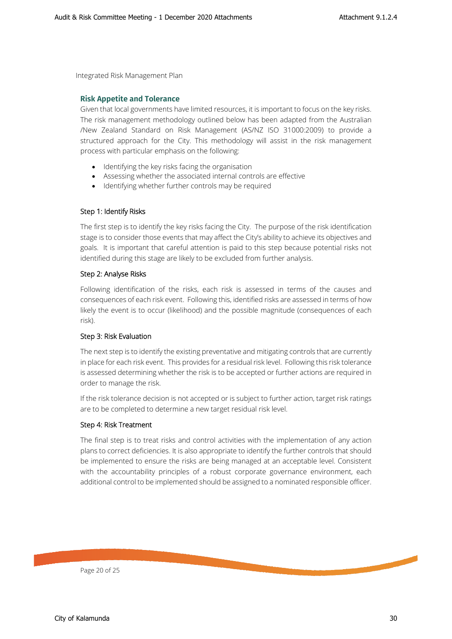#### <span id="page-19-0"></span>**Risk Appetite and Tolerance**

Given that local governments have limited resources, it is important to focus on the key risks. The risk management methodology outlined below has been adapted from the Australian /New Zealand Standard on Risk Management (AS/NZ ISO 31000:2009) to provide a structured approach for the City. This methodology will assist in the risk management process with particular emphasis on the following:

- Identifying the key risks facing the organisation
- Assessing whether the associated internal controls are effective
- Identifying whether further controls may be required

#### Step 1: Identify Risks

The first step is to identify the key risks facing the City. The purpose of the risk identification stage is to consider those events that may affect the City's ability to achieve its objectives and goals. It is important that careful attention is paid to this step because potential risks not identified during this stage are likely to be excluded from further analysis.

#### Step 2: Analyse Risks

Following identification of the risks, each risk is assessed in terms of the causes and consequences of each risk event. Following this, identified risks are assessed in terms of how likely the event is to occur (likelihood) and the possible magnitude (consequences of each risk).

#### Step 3: Risk Evaluation

The next step is to identify the existing preventative and mitigating controls that are currently in place for each risk event. This provides for a residual risk level. Following this risk tolerance is assessed determining whether the risk is to be accepted or further actions are required in order to manage the risk.

If the risk tolerance decision is not accepted or is subject to further action, target risk ratings are to be completed to determine a new target residual risk level.

#### Step 4: Risk Treatment

<span id="page-19-1"></span>The final step is to treat risks and control activities with the implementation of any action plans to correct deficiencies. It is also appropriate to identify the further controls that should be implemented to ensure the risks are being managed at an acceptable level. Consistent with the accountability principles of a robust corporate governance environment, each additional control to be implemented should be assigned to a nominated responsible officer.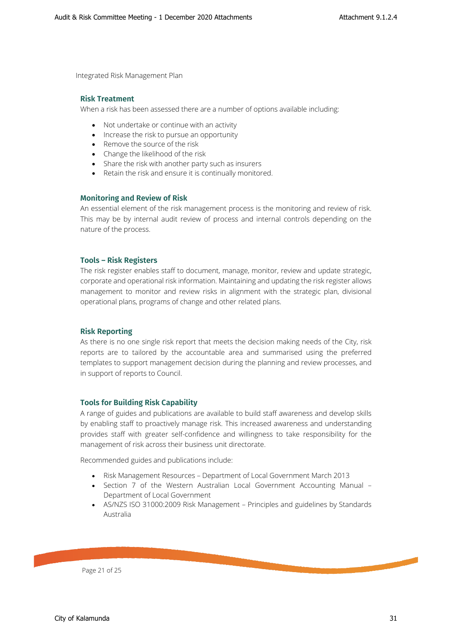#### **Risk Treatment**

When a risk has been assessed there are a number of options available including:

- Not undertake or continue with an activity
- Increase the risk to pursue an opportunity
- Remove the source of the risk
- Change the likelihood of the risk
- Share the risk with another party such as insurers
- Retain the risk and ensure it is continually monitored.

#### <span id="page-20-0"></span>**Monitoring and Review of Risk**

An essential element of the risk management process is the monitoring and review of risk. This may be by internal audit review of process and internal controls depending on the nature of the process.

#### <span id="page-20-1"></span>**Tools – Risk Registers**

The risk register enables staff to document, manage, monitor, review and update strategic, corporate and operational risk information. Maintaining and updating the risk register allows management to monitor and review risks in alignment with the strategic plan, divisional operational plans, programs of change and other related plans.

#### <span id="page-20-2"></span>**Risk Reporting**

As there is no one single risk report that meets the decision making needs of the City, risk reports are to tailored by the accountable area and summarised using the preferred templates to support management decision during the planning and review processes, and in support of reports to Council.

#### **Tools for Building Risk Capability**

<span id="page-20-3"></span>A range of guides and publications are available to build staff awareness and develop skills by enabling staff to proactively manage risk. This increased awareness and understanding provides staff with greater self-confidence and willingness to take responsibility for the management of risk across their business unit directorate.

Recommended guides and publications include:

- Risk Management Resources Department of Local Government March 2013
- Section 7 of the Western Australian Local Government Accounting Manual Department of Local Government
- AS/NZS ISO 31000:2009 Risk Management Principles and guidelines by Standards Australia

Page 21 of 25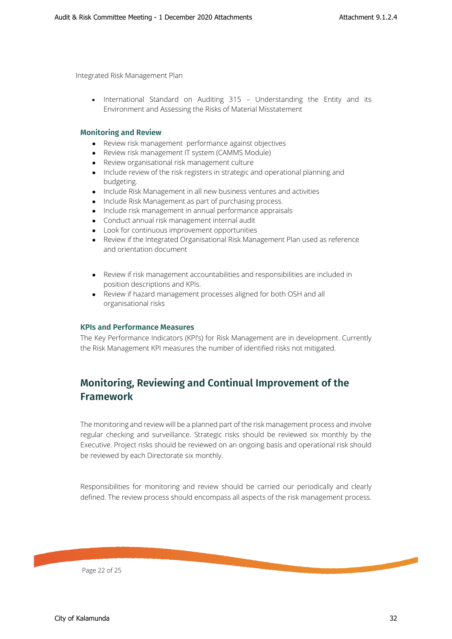<span id="page-21-0"></span>• International Standard on Auditing 315 – Understanding the Entity and its Environment and Assessing the Risks of Material Misstatement

#### **Monitoring and Review**

- Review risk management performance against objectives
- Review risk management IT system (CAMMS Module)
- Review organisational risk management culture
- Include review of the risk registers in strategic and operational planning and budgeting.
- Include Risk Management in all new business ventures and activities
- Include Risk Management as part of purchasing process.
- Include risk management in annual performance appraisals
- Conduct annual risk management internal audit
- Look for continuous improvement opportunities
- Review if the Integrated Organisational Risk Management Plan used as reference and orientation document
- Review if risk management accountabilities and responsibilities are included in position descriptions and KPIs.
- Review if hazard management processes aligned for both OSH and all organisational risks

#### <span id="page-21-1"></span>**KPIs and Performance Measures**

The Key Performance Indicators (KPI's) for Risk Management are in development. Currently the Risk Management KPI measures the number of identified risks not mitigated.

# <span id="page-21-2"></span>**Monitoring, Reviewing and Continual Improvement of the Framework**

The monitoring and review will be a planned part of the risk management process and involve regular checking and surveillance. Strategic risks should be reviewed six monthly by the Executive. Project risks should be reviewed on an ongoing basis and operational risk should be reviewed by each Directorate six monthly.

Responsibilities for monitoring and review should be carried our periodically and clearly defined. The review process should encompass all aspects of the risk management process.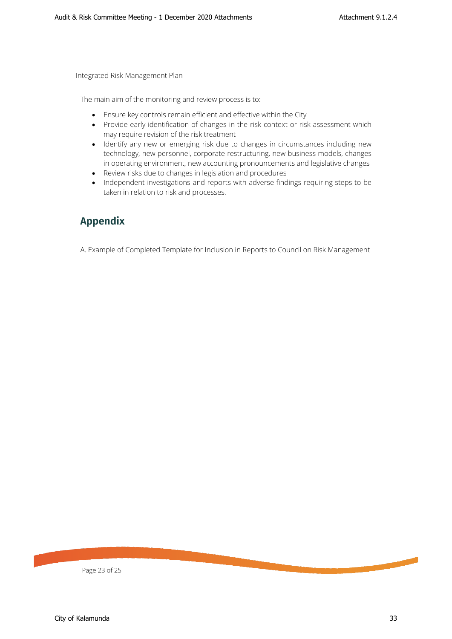The main aim of the monitoring and review process is to:

- Ensure key controls remain efficient and effective within the City
- Provide early identification of changes in the risk context or risk assessment which may require revision of the risk treatment
- Identify any new or emerging risk due to changes in circumstances including new technology, new personnel, corporate restructuring, new business models, changes in operating environment, new accounting pronouncements and legislative changes
- Review risks due to changes in legislation and procedures
- Independent investigations and reports with adverse findings requiring steps to be taken in relation to risk and processes.

# <span id="page-22-0"></span>**Appendix**

A. Example of Completed Template for Inclusion in Reports to Council on Risk Management

Page 23 of 25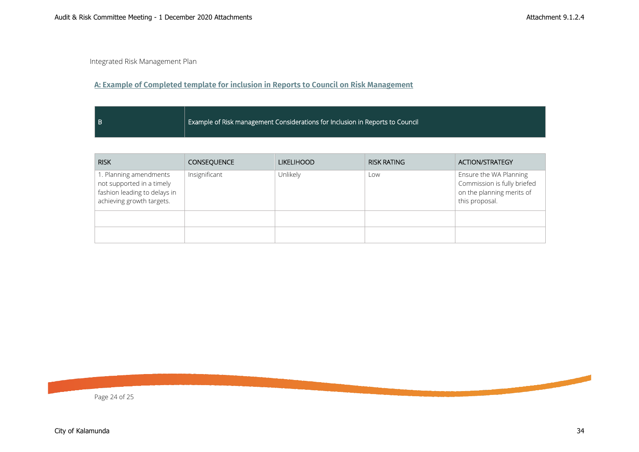## **A: Example of Completed template for inclusion in Reports to Council on Risk Management**

| l B | $\blacksquare$ Example of Risk management Considerations for Inclusion in Reports to Council $\blacksquare$ |
|-----|-------------------------------------------------------------------------------------------------------------|
|     |                                                                                                             |

<span id="page-23-0"></span>

| <b>RISK</b>                                                                                                      | <b>CONSEQUENCE</b> | <b>LIKELIHOOD</b> | <b>RISK RATING</b> | <b>ACTION/STRATEGY</b>                                                                               |
|------------------------------------------------------------------------------------------------------------------|--------------------|-------------------|--------------------|------------------------------------------------------------------------------------------------------|
| 1. Planning amendments<br>not supported in a timely<br>fashion leading to delays in<br>achieving growth targets. | Insignificant      | Unlikely          | Low                | Ensure the WA Planning<br>Commission is fully briefed<br>on the planning merits of<br>this proposal. |
|                                                                                                                  |                    |                   |                    |                                                                                                      |
|                                                                                                                  |                    |                   |                    |                                                                                                      |

Page 24 of 25